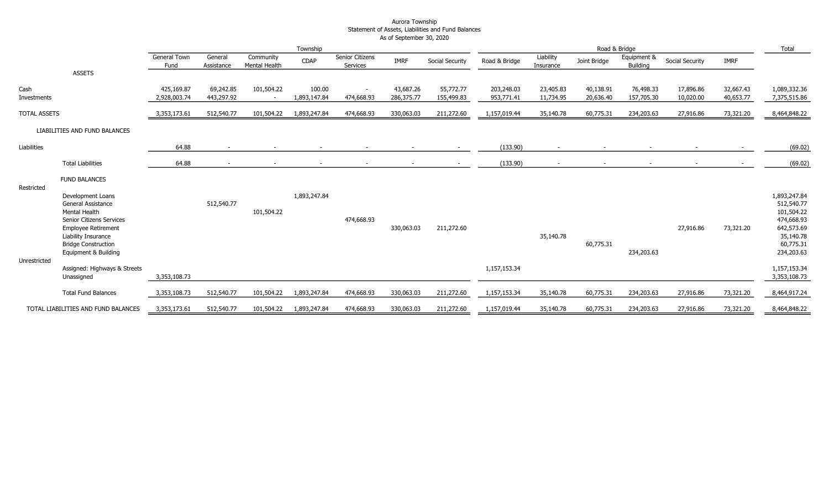#### Aurora Township Statement of Assets, Liabilities and Fund Balances As of September 30, 2020

|                     |                                                                                                                                                         | Township                    |                         |                                        | Road & Bridge          |                             |                         | Total                   |                          |                        |                        |                         |                        |                        |                                                                                   |
|---------------------|---------------------------------------------------------------------------------------------------------------------------------------------------------|-----------------------------|-------------------------|----------------------------------------|------------------------|-----------------------------|-------------------------|-------------------------|--------------------------|------------------------|------------------------|-------------------------|------------------------|------------------------|-----------------------------------------------------------------------------------|
|                     |                                                                                                                                                         | <b>General Town</b><br>Fund | General<br>Assistance   | Community<br>Mental Health             | <b>CDAP</b>            | Senior Citizens<br>Services | <b>IMRF</b>             | Social Security         | Road & Bridge            | Liability<br>Insurance | Joint Bridge           | Equipment &<br>Building | Social Security        | <b>IMRF</b>            |                                                                                   |
|                     | <b>ASSETS</b>                                                                                                                                           |                             |                         |                                        |                        |                             |                         |                         |                          |                        |                        |                         |                        |                        |                                                                                   |
| Cash<br>Investments |                                                                                                                                                         | 425,169.87<br>2,928,003.74  | 69,242.85<br>443,297.92 | 101,504.22<br>$\overline{\phantom{a}}$ | 100.00<br>1,893,147.84 | $\sim$<br>474,668.93        | 43,687.26<br>286,375.77 | 55,772.77<br>155,499.83 | 203,248.03<br>953,771.41 | 23,405.83<br>11,734.95 | 40,138.91<br>20,636.40 | 76,498.33<br>157,705.30 | 17,896.86<br>10,020.00 | 32,667.43<br>40,653.77 | 1,089,332.36<br>7,375,515.86                                                      |
| <b>TOTAL ASSETS</b> |                                                                                                                                                         | 3,353,173.61                | 512,540.77              | 101,504.22                             | 1,893,247.84           | 474,668.93                  | 330,063.03              | 211,272.60              | 1,157,019.44             | 35,140.78              | 60,775.31              | 234,203.63              | 27,916.86              | 73,321.20              | 8,464,848.22                                                                      |
|                     | LIABILITIES AND FUND BALANCES                                                                                                                           |                             |                         |                                        |                        |                             |                         |                         |                          |                        |                        |                         |                        |                        |                                                                                   |
| Liabilities         |                                                                                                                                                         | 64.88                       |                         |                                        |                        |                             |                         |                         | (133.90)                 |                        |                        |                         |                        |                        | (69.02)                                                                           |
|                     | <b>Total Liabilities</b>                                                                                                                                | 64.88                       |                         |                                        |                        |                             |                         |                         | (133.90)                 |                        |                        |                         |                        |                        | (69.02)                                                                           |
| Restricted          | <b>FUND BALANCES</b>                                                                                                                                    |                             |                         |                                        |                        |                             |                         |                         |                          |                        |                        |                         |                        |                        |                                                                                   |
|                     | Development Loans<br><b>General Assistance</b><br><b>Mental Health</b><br>Senior Citizens Services<br><b>Employee Retirement</b><br>Liability Insurance |                             | 512,540.77              | 101,504.22                             | 1,893,247.84           | 474,668.93                  | 330,063.03              | 211,272.60              |                          | 35,140.78              |                        |                         | 27,916.86              | 73,321.20              | 1,893,247.84<br>512,540.77<br>101,504.22<br>474,668.93<br>642,573.69<br>35,140.78 |
| Unrestricted        | <b>Bridge Construction</b><br>Equipment & Building                                                                                                      |                             |                         |                                        |                        |                             |                         |                         |                          |                        | 60,775.31              | 234,203.63              |                        |                        | 60,775.31<br>234,203.63                                                           |
|                     | Assigned: Highways & Streets<br>Unassigned                                                                                                              | 3,353,108.73                |                         |                                        |                        |                             |                         |                         | 1,157,153.34             |                        |                        |                         |                        |                        | 1,157,153.34<br>3,353,108.73                                                      |
|                     | <b>Total Fund Balances</b>                                                                                                                              | 3,353,108.73                | 512,540.77              | 101,504.22                             | 1,893,247.84           | 474,668.93                  | 330,063.03              | 211,272.60              | 1,157,153.34             | 35,140.78              | 60,775.31              | 234,203.63              | 27,916.86              | 73,321.20              | 8,464,917.24                                                                      |
|                     | TOTAL LIABILITIES AND FUND BALANCES                                                                                                                     | 3,353,173.61                | 512,540.77              | 101,504.22                             | 1,893,247.84           | 474,668.93                  | 330,063.03              | 211,272.60              | 1,157,019.44             | 35,140.78              | 60,775.31              | 234,203.63              | 27,916.86              | 73,321.20              | 8,464,848.22                                                                      |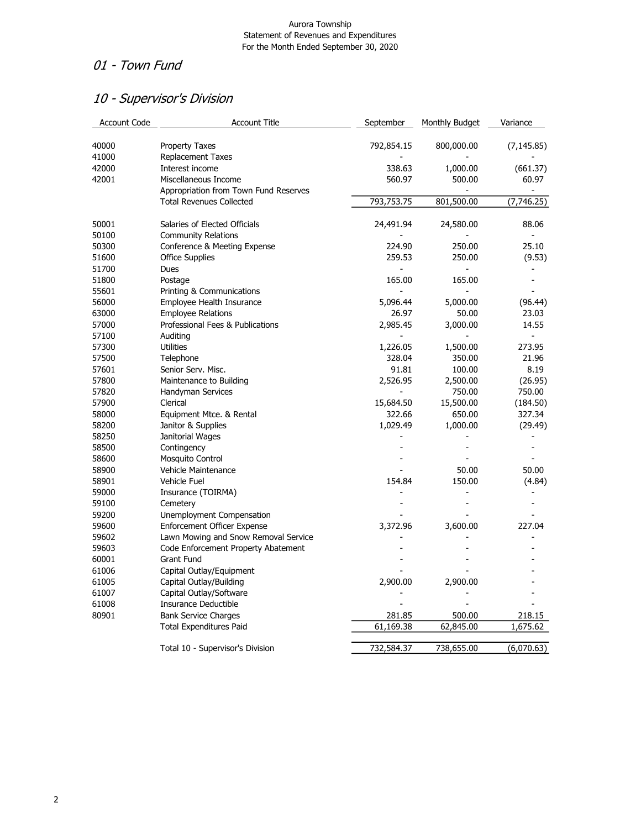## 01 - Town Fund

# 10 - Supervisor's Division

| <b>Account Code</b> | <b>Account Title</b>                  | September                | Monthly Budget               | Variance          |
|---------------------|---------------------------------------|--------------------------|------------------------------|-------------------|
| 40000               | <b>Property Taxes</b>                 | 792,854.15               | 800,000.00                   | (7, 145.85)       |
| 41000               | <b>Replacement Taxes</b>              |                          |                              |                   |
| 42000               | Interest income                       | 338.63                   | 1,000.00                     | (661.37)          |
| 42001               | Miscellaneous Income                  | 560.97                   | 500.00                       | 60.97             |
|                     | Appropriation from Town Fund Reserves |                          |                              |                   |
|                     | <b>Total Revenues Collected</b>       | 793,753.75               | 801,500.00                   | (7,746.25)        |
| 50001               | Salaries of Elected Officials         | 24,491.94                | 24,580.00                    | 88.06             |
| 50100               | <b>Community Relations</b>            |                          |                              |                   |
| 50300               | Conference & Meeting Expense          | 224.90                   | 250.00                       | 25.10             |
| 51600               | <b>Office Supplies</b>                | 259.53                   | 250.00                       | (9.53)            |
| 51700               | Dues                                  |                          |                              |                   |
| 51800               | Postage                               | 165.00                   | 165.00                       |                   |
| 55601               | Printing & Communications             | $\overline{\phantom{a}}$ |                              |                   |
| 56000               | Employee Health Insurance             | 5,096.44                 | 5,000.00                     | (96.44)           |
| 63000               | <b>Employee Relations</b>             | 26.97                    | 50.00                        | 23.03             |
| 57000               | Professional Fees & Publications      | 2,985.45                 | 3,000.00                     | 14.55             |
| 57100               | Auditing                              | $\blacksquare$           |                              | $\overline{a}$    |
| 57300               | <b>Utilities</b>                      | 1,226.05                 | 1,500.00                     | 273.95            |
| 57500               | Telephone                             | 328.04                   | 350.00                       | 21.96             |
| 57601               | Senior Serv. Misc.                    | 91.81                    | 100.00                       | 8.19              |
| 57800               |                                       | 2,526.95                 | 2,500.00                     |                   |
| 57820               | Maintenance to Building               | $\frac{1}{2}$            |                              | (26.95)<br>750.00 |
|                     | Handyman Services                     |                          | 750.00                       |                   |
| 57900               | Clerical                              | 15,684.50                | 15,500.00                    | (184.50)          |
| 58000               | Equipment Mtce. & Rental              | 322.66                   | 650.00                       | 327.34            |
| 58200               | Janitor & Supplies                    | 1,029.49                 | 1,000.00                     | (29.49)           |
| 58250               | Janitorial Wages                      |                          |                              |                   |
| 58500               | Contingency                           |                          |                              |                   |
| 58600               | Mosquito Control                      |                          |                              |                   |
| 58900               | Vehicle Maintenance                   |                          | 50.00                        | 50.00             |
| 58901               | Vehicle Fuel                          | 154.84                   | 150.00                       | (4.84)            |
| 59000               | Insurance (TOIRMA)                    |                          | $\qquad \qquad \blacksquare$ |                   |
| 59100               | Cemetery                              |                          |                              |                   |
| 59200               | Unemployment Compensation             |                          |                              |                   |
| 59600               | <b>Enforcement Officer Expense</b>    | 3,372.96                 | 3,600.00                     | 227.04            |
| 59602               | Lawn Mowing and Snow Removal Service  |                          |                              |                   |
| 59603               | Code Enforcement Property Abatement   |                          |                              |                   |
| 60001               | <b>Grant Fund</b>                     |                          |                              |                   |
| 61006               | Capital Outlay/Equipment              |                          |                              |                   |
| 61005               | Capital Outlay/Building               | 2,900.00                 | 2,900.00                     |                   |
| 61007               | Capital Outlay/Software               |                          |                              |                   |
| 61008               | Insurance Deductible                  |                          |                              |                   |
| 80901               | <b>Bank Service Charges</b>           | 281.85                   | 500.00                       | 218.15            |
|                     | Total Expenditures Paid               | 61,169.38                | 62,845.00                    | 1,675.62          |
|                     | Total 10 - Supervisor's Division      | 732,584.37               | 738,655.00                   | (6,070.63)        |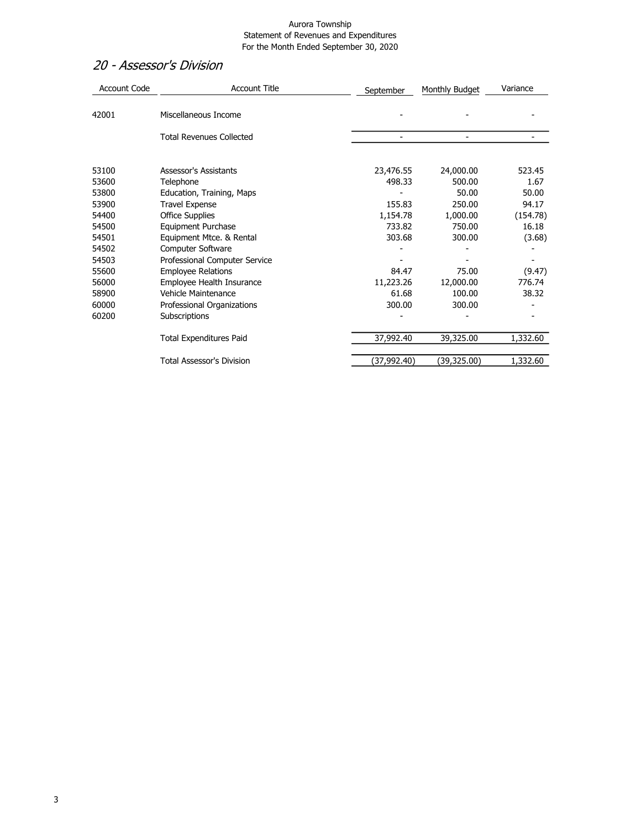### 20 - Assessor's Division

| <b>Account Code</b> | <b>Account Title</b>             | September    | Monthly Budget | Variance |
|---------------------|----------------------------------|--------------|----------------|----------|
| 42001               | Miscellaneous Income             |              |                |          |
|                     | <b>Total Revenues Collected</b>  |              |                |          |
| 53100               | Assessor's Assistants            | 23,476.55    | 24,000.00      | 523.45   |
| 53600               | Telephone                        | 498.33       | 500.00         | 1.67     |
| 53800               | Education, Training, Maps        |              | 50.00          | 50.00    |
| 53900               | <b>Travel Expense</b>            | 155.83       | 250.00         | 94.17    |
| 54400               | <b>Office Supplies</b>           | 1,154.78     | 1,000.00       | (154.78) |
| 54500               | Equipment Purchase               | 733.82       | 750.00         | 16.18    |
| 54501               | Equipment Mtce. & Rental         | 303.68       | 300.00         | (3.68)   |
| 54502               | Computer Software                |              |                |          |
| 54503               | Professional Computer Service    |              |                |          |
| 55600               | <b>Employee Relations</b>        | 84.47        | 75.00          | (9.47)   |
| 56000               | Employee Health Insurance        | 11,223.26    | 12,000.00      | 776.74   |
| 58900               | Vehicle Maintenance              | 61.68        | 100.00         | 38.32    |
| 60000               | Professional Organizations       | 300.00       | 300.00         |          |
| 60200               | Subscriptions                    |              |                |          |
|                     | <b>Total Expenditures Paid</b>   | 37,992.40    | 39,325.00      | 1,332.60 |
|                     | <b>Total Assessor's Division</b> | (37, 992.40) | (39,325.00)    | 1,332.60 |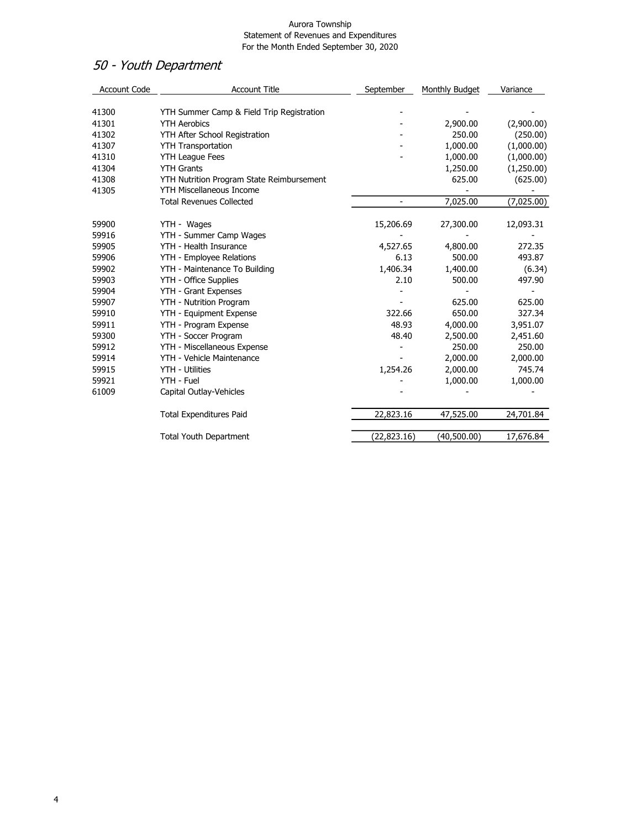# 50 - Youth Department

| <b>Account Code</b> | <b>Account Title</b>                      | September                | Monthly Budget | Variance   |
|---------------------|-------------------------------------------|--------------------------|----------------|------------|
|                     |                                           |                          |                |            |
| 41300               | YTH Summer Camp & Field Trip Registration |                          |                |            |
| 41301               | <b>YTH Aerobics</b>                       |                          | 2,900.00       | (2,900.00) |
| 41302               | YTH After School Registration             |                          | 250.00         | (250.00)   |
| 41307               | <b>YTH Transportation</b>                 |                          | 1,000.00       | (1,000.00) |
| 41310               | <b>YTH League Fees</b>                    |                          | 1,000.00       | (1,000.00) |
| 41304               | <b>YTH Grants</b>                         |                          | 1,250.00       | (1,250.00) |
| 41308               | YTH Nutrition Program State Reimbursement |                          | 625.00         | (625.00)   |
| 41305               | <b>YTH Miscellaneous Income</b>           |                          |                |            |
|                     | <b>Total Revenues Collected</b>           | $\overline{\phantom{a}}$ | 7,025.00       | (7,025.00) |
| 59900               | YTH - Wages                               | 15,206.69                | 27,300.00      | 12,093.31  |
| 59916               | YTH - Summer Camp Wages                   |                          |                |            |
| 59905               | YTH - Health Insurance                    | 4,527.65                 | 4,800.00       | 272.35     |
| 59906               | YTH - Employee Relations                  | 6.13                     | 500.00         | 493.87     |
| 59902               | YTH - Maintenance To Building             | 1,406.34                 | 1,400.00       | (6.34)     |
| 59903               | YTH - Office Supplies                     | 2.10                     | 500.00         | 497.90     |
| 59904               | YTH - Grant Expenses                      |                          |                |            |
| 59907               | YTH - Nutrition Program                   |                          | 625.00         | 625.00     |
| 59910               | YTH - Equipment Expense                   | 322.66                   | 650.00         | 327.34     |
| 59911               | YTH - Program Expense                     | 48.93                    | 4,000.00       | 3,951.07   |
| 59300               | YTH - Soccer Program                      | 48.40                    | 2,500.00       | 2,451.60   |
| 59912               | YTH - Miscellaneous Expense               |                          | 250.00         | 250.00     |
| 59914               | YTH - Vehicle Maintenance                 |                          | 2,000.00       | 2,000.00   |
| 59915               | YTH - Utilities                           | 1,254.26                 | 2,000.00       | 745.74     |
| 59921               | YTH - Fuel                                |                          | 1,000.00       | 1,000.00   |
| 61009               | Capital Outlay-Vehicles                   |                          |                |            |
|                     | <b>Total Expenditures Paid</b>            | 22,823.16                | 47,525.00      | 24,701.84  |
|                     | <b>Total Youth Department</b>             | (22, 823.16)             | (40,500.00)    | 17,676.84  |
|                     |                                           |                          |                |            |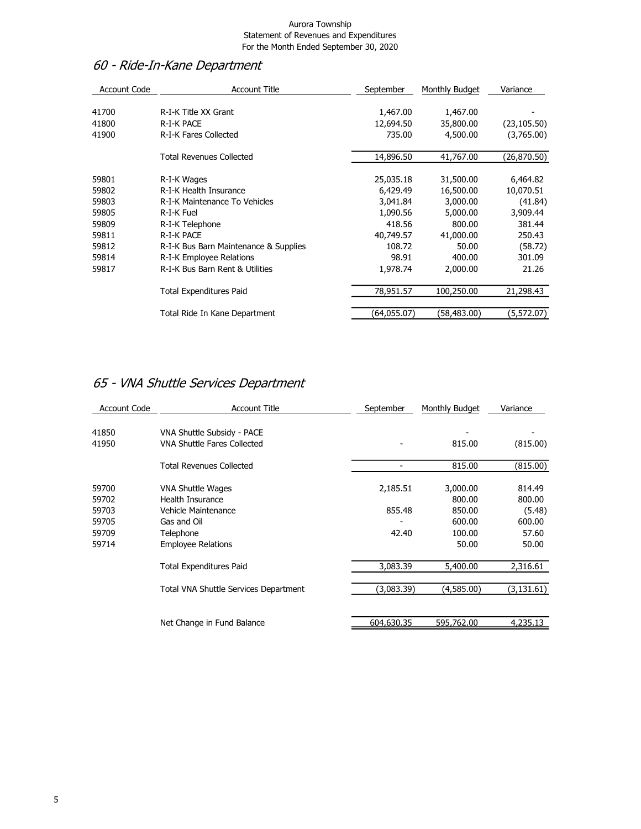# 60 - Ride-In-Kane Department

| <b>Account Code</b> | <b>Account Title</b>                  | September   | Monthly Budget | Variance     |
|---------------------|---------------------------------------|-------------|----------------|--------------|
| 41700               | R-I-K Title XX Grant                  | 1,467.00    | 1,467.00       |              |
|                     |                                       |             |                |              |
| 41800               | R-I-K PACE                            | 12,694.50   | 35,800.00      | (23, 105.50) |
| 41900               | R-I-K Fares Collected                 | 735.00      | 4,500.00       | (3,765.00)   |
|                     | Total Revenues Collected              | 14,896.50   | 41,767.00      | (26,870.50)  |
| 59801               | R-I-K Wages                           | 25,035.18   | 31,500.00      | 6,464.82     |
| 59802               | R-I-K Health Insurance                | 6,429.49    | 16,500.00      | 10,070.51    |
| 59803               | R-I-K Maintenance To Vehicles         | 3,041.84    | 3,000.00       | (41.84)      |
| 59805               | R-I-K Fuel                            | 1,090.56    | 5,000.00       | 3,909.44     |
| 59809               | R-I-K Telephone                       | 418.56      | 800.00         | 381.44       |
| 59811               | R-I-K PACE                            | 40,749.57   | 41,000.00      | 250.43       |
| 59812               | R-I-K Bus Barn Maintenance & Supplies | 108.72      | 50.00          | (58.72)      |
| 59814               | R-I-K Employee Relations              | 98.91       | 400.00         | 301.09       |
| 59817               | R-I-K Bus Barn Rent & Utilities       | 1,978.74    | 2,000.00       | 21.26        |
|                     | <b>Total Expenditures Paid</b>        | 78,951.57   | 100,250.00     | 21,298.43    |
|                     | Total Ride In Kane Department         | (64,055.07) | (58,483.00)    | (5,572.07)   |
|                     |                                       |             |                |              |

# 65 - VNA Shuttle Services Department

| <b>Account Code</b>                                | <b>Account Title</b>                                                                                                  | September                   | Monthly Budget                                            | Variance                                               |
|----------------------------------------------------|-----------------------------------------------------------------------------------------------------------------------|-----------------------------|-----------------------------------------------------------|--------------------------------------------------------|
| 41850<br>41950                                     | VNA Shuttle Subsidy - PACE<br><b>VNA Shuttle Fares Collected</b>                                                      |                             | 815.00                                                    | (815.00)                                               |
|                                                    | <b>Total Revenues Collected</b>                                                                                       | -                           | 815.00                                                    | (815.00)                                               |
| 59700<br>59702<br>59703<br>59705<br>59709<br>59714 | VNA Shuttle Wages<br>Health Insurance<br>Vehicle Maintenance<br>Gas and Oil<br>Telephone<br><b>Employee Relations</b> | 2,185.51<br>855.48<br>42.40 | 3,000.00<br>800.00<br>850.00<br>600.00<br>100.00<br>50.00 | 814.49<br>800.00<br>(5.48)<br>600.00<br>57.60<br>50.00 |
|                                                    | <b>Total Expenditures Paid</b>                                                                                        | 3,083.39                    | 5,400.00                                                  | 2,316.61                                               |
|                                                    | Total VNA Shuttle Services Department                                                                                 | (3,083.39)                  | (4,585.00)                                                | (3, 131.61)                                            |
|                                                    | Net Change in Fund Balance                                                                                            | 604,630.35                  | 595,762.00                                                | 4,235.13                                               |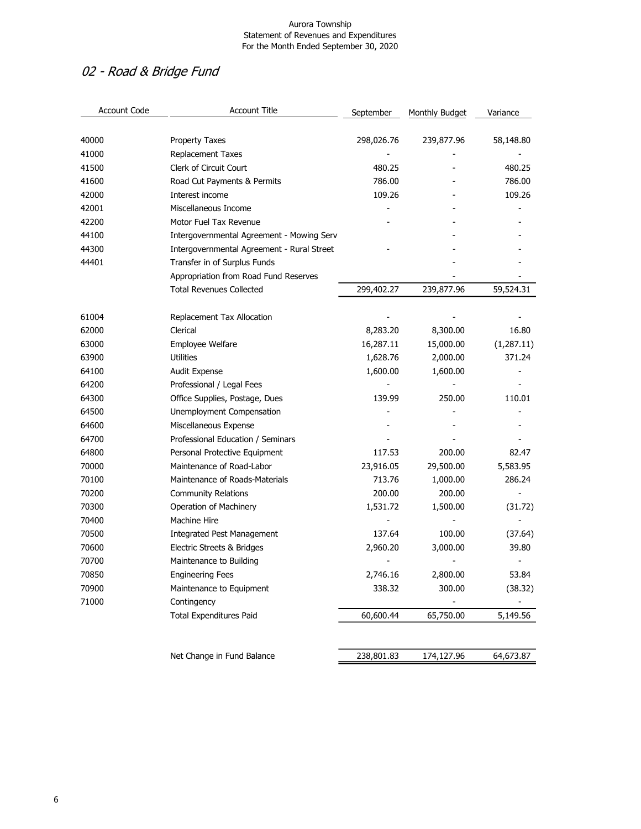# 02 - Road & Bridge Fund

| <b>Account Code</b> | <b>Account Title</b>                       | September  | Monthly Budget | Variance   |
|---------------------|--------------------------------------------|------------|----------------|------------|
| 40000               | Property Taxes                             | 298,026.76 | 239,877.96     | 58,148.80  |
| 41000               | <b>Replacement Taxes</b>                   |            |                |            |
| 41500               | Clerk of Circuit Court                     | 480.25     |                | 480.25     |
| 41600               | Road Cut Payments & Permits                | 786.00     |                | 786.00     |
| 42000               | Interest income                            | 109.26     |                | 109.26     |
| 42001               | Miscellaneous Income                       |            |                |            |
| 42200               | Motor Fuel Tax Revenue                     |            |                |            |
| 44100               | Intergovernmental Agreement - Mowing Serv  |            |                |            |
| 44300               | Intergovernmental Agreement - Rural Street |            |                |            |
| 44401               | Transfer in of Surplus Funds               |            |                |            |
|                     | Appropriation from Road Fund Reserves      |            |                |            |
|                     | <b>Total Revenues Collected</b>            | 299,402.27 | 239,877.96     | 59,524.31  |
| 61004               | Replacement Tax Allocation                 |            |                |            |
| 62000               | Clerical                                   | 8,283.20   | 8,300.00       | 16.80      |
| 63000               | Employee Welfare                           | 16,287.11  | 15,000.00      | (1,287.11) |
| 63900               | <b>Utilities</b>                           | 1,628.76   | 2,000.00       | 371.24     |
| 64100               | Audit Expense                              | 1,600.00   | 1,600.00       |            |
| 64200               | Professional / Legal Fees                  |            |                |            |
| 64300               | Office Supplies, Postage, Dues             | 139.99     | 250.00         | 110.01     |
| 64500               | Unemployment Compensation                  |            |                |            |
| 64600               | Miscellaneous Expense                      |            |                |            |
| 64700               | Professional Education / Seminars          |            |                |            |
| 64800               | Personal Protective Equipment              | 117.53     | 200.00         | 82.47      |
| 70000               | Maintenance of Road-Labor                  | 23,916.05  | 29,500.00      | 5,583.95   |
| 70100               | Maintenance of Roads-Materials             | 713.76     | 1,000.00       | 286.24     |
| 70200               | <b>Community Relations</b>                 | 200.00     | 200.00         |            |
| 70300               | Operation of Machinery                     | 1,531.72   | 1,500.00       | (31.72)    |
| 70400               | Machine Hire                               |            |                |            |
| 70500               | <b>Integrated Pest Management</b>          | 137.64     | 100.00         | (37.64)    |
| 70600               | Electric Streets & Bridges                 | 2,960.20   | 3,000.00       | 39.80      |
| 70700               | Maintenance to Building                    |            |                |            |
| 70850               | <b>Engineering Fees</b>                    | 2,746.16   | 2,800.00       | 53.84      |
| 70900               | Maintenance to Equipment                   | 338.32     | 300.00         | (38.32)    |
| 71000               | Contingency                                |            |                |            |
|                     | <b>Total Expenditures Paid</b>             | 60,600.44  | 65,750.00      | 5,149.56   |
|                     |                                            |            |                |            |
|                     | Net Change in Fund Balance                 | 238,801.83 | 174,127.96     | 64,673.87  |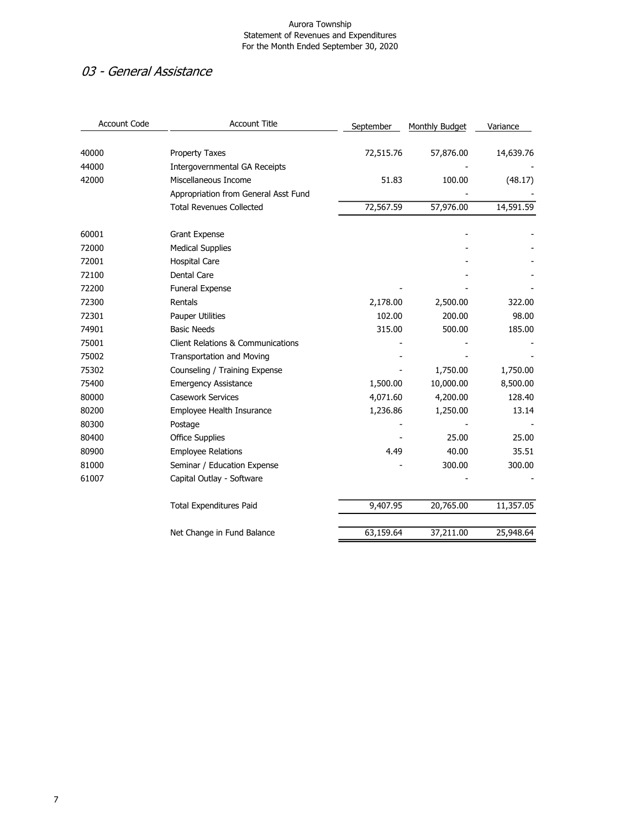## 03 - General Assistance

| <b>Account Code</b> | <b>Account Title</b>                         | September | Monthly Budget | Variance  |
|---------------------|----------------------------------------------|-----------|----------------|-----------|
| 40000               | <b>Property Taxes</b>                        | 72,515.76 | 57,876.00      | 14,639.76 |
| 44000               | Intergovernmental GA Receipts                |           |                |           |
| 42000               | Miscellaneous Income                         | 51.83     | 100.00         | (48.17)   |
|                     | Appropriation from General Asst Fund         |           |                |           |
|                     | <b>Total Revenues Collected</b>              | 72,567.59 | 57,976.00      | 14,591.59 |
| 60001               | Grant Expense                                |           |                |           |
| 72000               | <b>Medical Supplies</b>                      |           |                |           |
| 72001               | <b>Hospital Care</b>                         |           |                |           |
| 72100               | Dental Care                                  |           |                |           |
| 72200               | Funeral Expense                              |           |                |           |
| 72300               | Rentals                                      | 2,178.00  | 2,500.00       | 322.00    |
| 72301               | <b>Pauper Utilities</b>                      | 102.00    | 200.00         | 98.00     |
| 74901               | <b>Basic Needs</b>                           | 315.00    | 500.00         | 185.00    |
| 75001               | <b>Client Relations &amp; Communications</b> |           |                |           |
| 75002               | <b>Transportation and Moving</b>             |           |                |           |
| 75302               | Counseling / Training Expense                |           | 1,750.00       | 1,750.00  |
| 75400               | <b>Emergency Assistance</b>                  | 1,500.00  | 10,000.00      | 8,500.00  |
| 80000               | <b>Casework Services</b>                     | 4,071.60  | 4,200.00       | 128.40    |
| 80200               | Employee Health Insurance                    | 1,236.86  | 1,250.00       | 13.14     |
| 80300               | Postage                                      |           |                |           |
| 80400               | <b>Office Supplies</b>                       |           | 25.00          | 25.00     |
| 80900               | <b>Employee Relations</b>                    | 4.49      | 40.00          | 35.51     |
| 81000               | Seminar / Education Expense                  |           | 300.00         | 300.00    |
| 61007               | Capital Outlay - Software                    |           |                |           |
|                     | <b>Total Expenditures Paid</b>               | 9,407.95  | 20,765.00      | 11,357.05 |
|                     | Net Change in Fund Balance                   | 63,159.64 | 37,211.00      | 25,948.64 |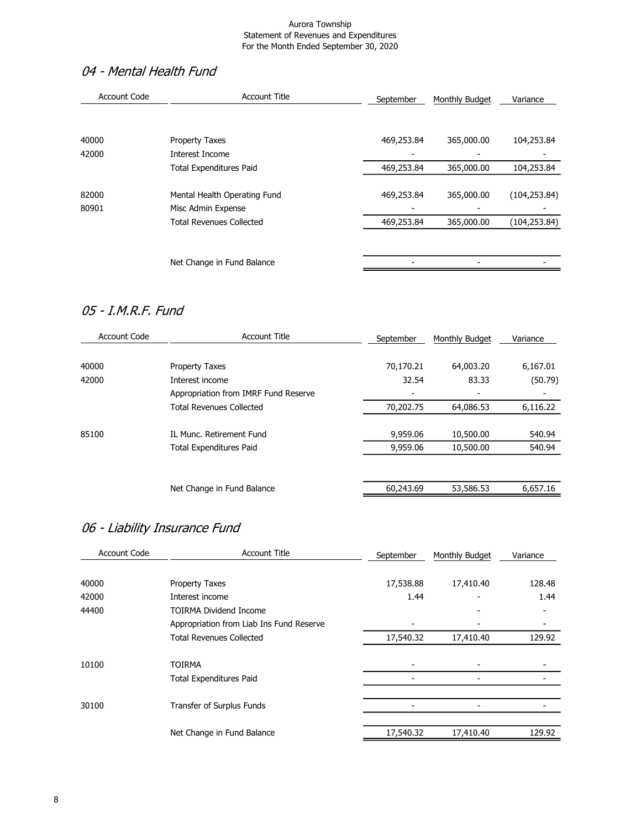# 04 - Mental Health Fund

| <b>Account Code</b> | <b>Account Title</b>            | September  | Monthly Budget | Variance      |
|---------------------|---------------------------------|------------|----------------|---------------|
| 40000               | <b>Property Taxes</b>           | 469,253.84 | 365,000.00     | 104,253.84    |
| 42000               | Interest Income                 |            |                |               |
|                     | <b>Total Expenditures Paid</b>  | 469,253.84 | 365,000.00     | 104,253.84    |
| 82000               | Mental Health Operating Fund    | 469,253.84 | 365,000.00     | (104, 253.84) |
| 80901               | Misc Admin Expense              |            |                |               |
|                     | <b>Total Revenues Collected</b> | 469,253.84 | 365,000.00     | (104, 253.84) |
|                     |                                 |            |                |               |
|                     | Net Change in Fund Balance      |            |                |               |

## 05 - I.M.R.F. Fund

| <b>Account Code</b> | <b>Account Title</b>                 | September | Monthly Budget | Variance |
|---------------------|--------------------------------------|-----------|----------------|----------|
| 40000               | <b>Property Taxes</b>                | 70,170.21 | 64,003.20      | 6,167.01 |
| 42000               | Interest income                      | 32.54     | 83.33          | (50.79)  |
|                     | Appropriation from IMRF Fund Reserve |           |                |          |
|                     | <b>Total Revenues Collected</b>      | 70,202.75 | 64,086.53      | 6,116.22 |
| 85100               | IL Munc. Retirement Fund             | 9,959.06  | 10,500.00      | 540.94   |
|                     | <b>Total Expenditures Paid</b>       | 9,959.06  | 10,500.00      | 540.94   |
|                     |                                      |           |                |          |
|                     | Net Change in Fund Balance           | 60,243.69 | 53,586.53      | 6,657.16 |
|                     |                                      |           |                |          |

# 06 - Liability Insurance Fund

| <b>Account Code</b> | <b>Account Title</b>                     | September | Monthly Budget | Variance |
|---------------------|------------------------------------------|-----------|----------------|----------|
| 40000               | Property Taxes                           | 17,538.88 | 17,410.40      | 128.48   |
| 42000               | Interest income                          | 1.44      |                | 1.44     |
| 44400               | <b>TOIRMA Dividend Income</b>            |           |                |          |
|                     | Appropriation from Liab Ins Fund Reserve |           |                |          |
|                     | <b>Total Revenues Collected</b>          | 17,540.32 | 17,410.40      | 129.92   |
| 10100               | <b>TOIRMA</b>                            |           |                |          |
|                     | <b>Total Expenditures Paid</b>           |           |                |          |
| 30100               | Transfer of Surplus Funds                |           |                |          |
|                     |                                          |           |                |          |
|                     | Net Change in Fund Balance               | 17,540.32 | 17,410.40      | 129.92   |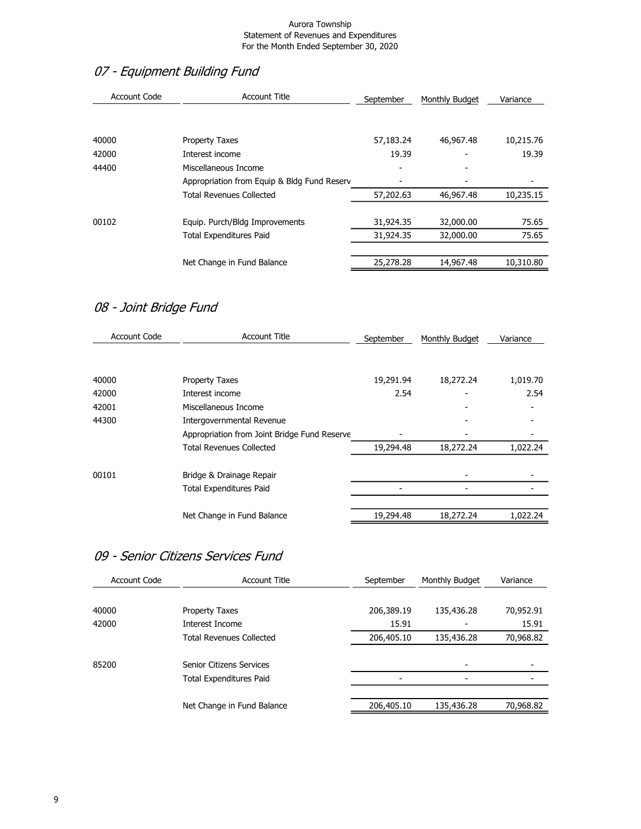# 07 - Equipment Building Fund

| Account Code | <b>Account Title</b>                        | September | Monthly Budget | Variance  |
|--------------|---------------------------------------------|-----------|----------------|-----------|
| 40000        | <b>Property Taxes</b>                       | 57,183.24 | 46,967.48      | 10,215.76 |
|              |                                             |           |                |           |
| 42000        | Interest income                             | 19.39     | -              | 19.39     |
| 44400        | Miscellaneous Income                        |           |                |           |
|              | Appropriation from Equip & Bldg Fund Reserv |           |                |           |
|              | <b>Total Revenues Collected</b>             | 57,202.63 | 46,967.48      | 10,235.15 |
|              |                                             |           |                |           |
| 00102        | Equip. Purch/Bldg Improvements              | 31,924.35 | 32,000.00      | 75.65     |
|              | <b>Total Expenditures Paid</b>              | 31,924.35 | 32,000.00      | 75.65     |
|              |                                             |           |                |           |
|              | Net Change in Fund Balance                  | 25,278.28 | 14,967.48      | 10,310.80 |
|              |                                             |           |                |           |

# 08 - Joint Bridge Fund

| <b>Account Title</b>                         | September | Monthly Budget | Variance |
|----------------------------------------------|-----------|----------------|----------|
|                                              |           |                |          |
| <b>Property Taxes</b>                        | 19,291.94 | 18,272.24      | 1,019.70 |
| Interest income                              | 2.54      |                | 2.54     |
| Miscellaneous Income                         |           |                |          |
| Intergovernmental Revenue                    |           |                |          |
| Appropriation from Joint Bridge Fund Reserve |           |                |          |
| <b>Total Revenues Collected</b>              | 19,294.48 | 18,272.24      | 1,022.24 |
| Bridge & Drainage Repair                     |           |                |          |
| <b>Total Expenditures Paid</b>               |           |                |          |
|                                              |           |                |          |
| Net Change in Fund Balance                   | 19,294.48 | 18,272.24      | 1,022.24 |
|                                              |           |                |          |

## 09 - Senior Citizens Services Fund

| Account Code | <b>Account Title</b>            | September  | Monthly Budget | Variance  |
|--------------|---------------------------------|------------|----------------|-----------|
|              |                                 |            |                |           |
| 40000        | <b>Property Taxes</b>           | 206,389.19 | 135,436.28     | 70,952.91 |
| 42000        | Interest Income                 | 15.91      |                | 15.91     |
|              | <b>Total Revenues Collected</b> | 206,405.10 | 135,436.28     | 70,968.82 |
|              |                                 |            |                |           |
| 85200        | Senior Citizens Services        |            |                |           |
|              | <b>Total Expenditures Paid</b>  |            |                |           |
|              |                                 |            |                |           |
|              | Net Change in Fund Balance      | 206,405.10 | 135,436.28     | 70,968.82 |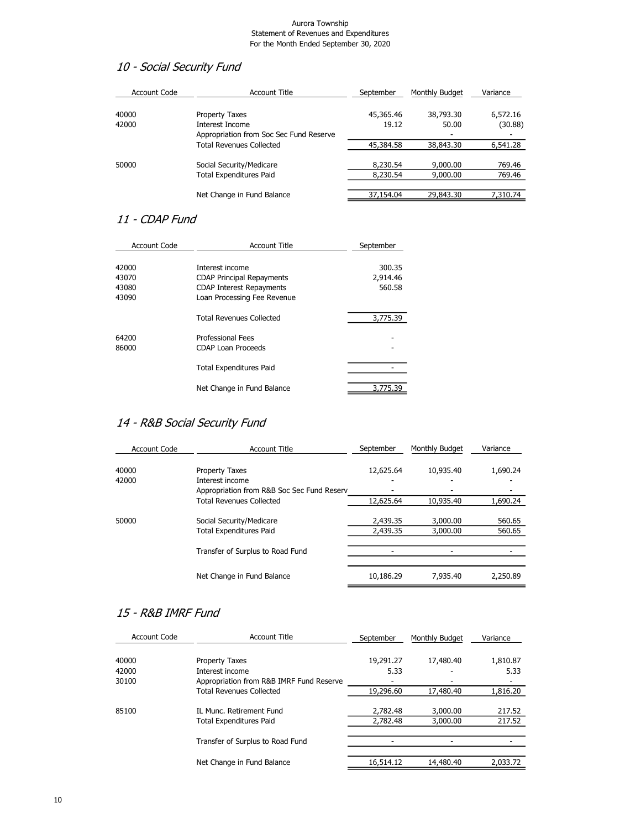### 10 - Social Security Fund

| <b>Account Code</b> | Account Title                           | September | Monthly Budget | Variance |
|---------------------|-----------------------------------------|-----------|----------------|----------|
| 40000               | <b>Property Taxes</b>                   | 45,365.46 | 38,793.30      | 6,572.16 |
| 42000               | Interest Income                         | 19.12     | 50.00          | (30.88)  |
|                     | Appropriation from Soc Sec Fund Reserve |           |                |          |
|                     | <b>Total Revenues Collected</b>         | 45,384.58 | 38,843.30      | 6,541.28 |
|                     |                                         |           |                |          |
| 50000               | Social Security/Medicare                | 8,230.54  | 9,000.00       | 769.46   |
|                     | <b>Total Expenditures Paid</b>          | 8,230.54  | 9,000.00       | 769.46   |
|                     |                                         |           |                |          |
|                     | Net Change in Fund Balance              | 37,154.04 | 29,843.30      | 7,310,74 |

### 11 - CDAP Fund

| <b>Account Code</b> | <b>Account Title</b>             | September |
|---------------------|----------------------------------|-----------|
| 42000               | Interest income                  | 300.35    |
| 43070               | <b>CDAP Principal Repayments</b> | 2,914.46  |
| 43080               | <b>CDAP Interest Repayments</b>  | 560.58    |
| 43090               | Loan Processing Fee Revenue      |           |
|                     | <b>Total Revenues Collected</b>  | 3,775.39  |
| 64200               | <b>Professional Fees</b>         |           |
| 86000               | <b>CDAP Loan Proceeds</b>        |           |
|                     | <b>Total Expenditures Paid</b>   |           |
|                     | Net Change in Fund Balance       | 3,775.39  |

## 14 - R&B Social Security Fund

| <b>Account Code</b> | <b>Account Title</b>                       | September | Monthly Budget | Variance |
|---------------------|--------------------------------------------|-----------|----------------|----------|
| 40000               | <b>Property Taxes</b>                      | 12,625.64 | 10,935.40      | 1,690.24 |
| 42000               | Interest income                            |           |                |          |
|                     | Appropriation from R&B Soc Sec Fund Reserv |           |                |          |
|                     | <b>Total Revenues Collected</b>            | 12,625.64 | 10,935.40      | 1,690.24 |
|                     |                                            |           |                |          |
| 50000               | Social Security/Medicare                   | 2,439.35  | 3,000.00       | 560.65   |
|                     | <b>Total Expenditures Paid</b>             | 2,439.35  | 3,000.00       | 560.65   |
|                     |                                            |           |                |          |
|                     | Transfer of Surplus to Road Fund           |           |                |          |
|                     |                                            |           |                |          |
|                     | Net Change in Fund Balance                 | 10,186.29 | 7,935.40       | 2,250.89 |

### 15 - R&B IMRF Fund

| <b>Account Code</b> | <b>Account Title</b>                     | September | Monthly Budget | Variance |
|---------------------|------------------------------------------|-----------|----------------|----------|
| 40000               | <b>Property Taxes</b>                    | 19,291.27 | 17,480.40      | 1,810.87 |
| 42000               | Interest income                          | 5.33      |                | 5.33     |
| 30100               | Appropriation from R&B IMRF Fund Reserve |           |                |          |
|                     | <b>Total Revenues Collected</b>          | 19,296.60 | 17,480.40      | 1,816.20 |
|                     |                                          |           |                |          |
| 85100               | IL Munc. Retirement Fund                 | 2,782.48  | 3,000,00       | 217.52   |
|                     | <b>Total Expenditures Paid</b>           | 2,782.48  | 3,000.00       | 217.52   |
|                     |                                          |           |                |          |
|                     | Transfer of Surplus to Road Fund         |           |                |          |
|                     |                                          |           |                |          |
|                     | Net Change in Fund Balance               | 16,514.12 | 14,480.40      | 2,033.72 |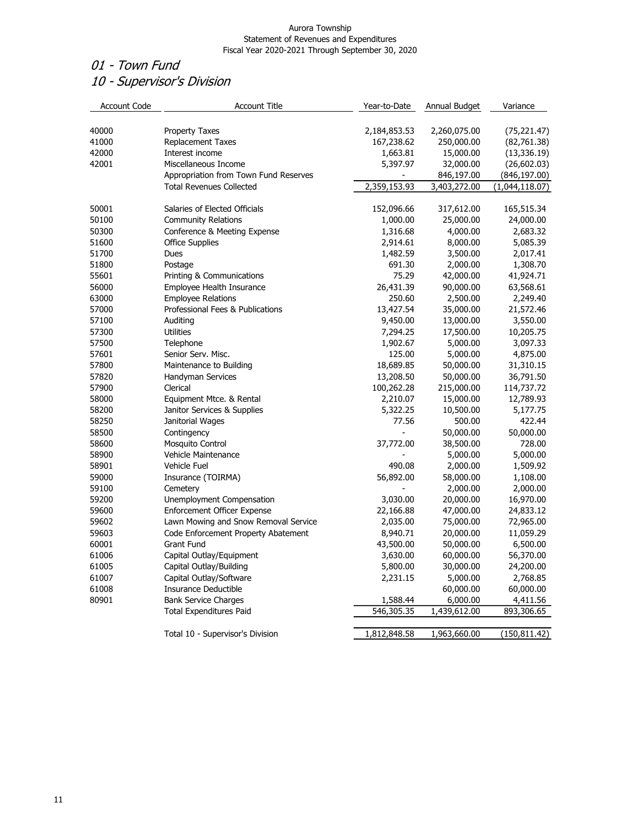# 01 - Town Fund 10 - Supervisor's Division

| <b>Account Code</b> | <b>Account Title</b>                  | Year-to-Date | Annual Budget | Variance       |
|---------------------|---------------------------------------|--------------|---------------|----------------|
| 40000               | <b>Property Taxes</b>                 | 2,184,853.53 | 2,260,075.00  | (75, 221.47)   |
| 41000               | <b>Replacement Taxes</b>              | 167,238.62   | 250,000.00    | (82, 761.38)   |
| 42000               | Interest income                       | 1,663.81     | 15,000.00     | (13, 336.19)   |
| 42001               | Miscellaneous Income                  | 5,397.97     | 32,000.00     | (26, 602.03)   |
|                     | Appropriation from Town Fund Reserves |              | 846,197.00    | (846, 197.00)  |
|                     | <b>Total Revenues Collected</b>       | 2,359,153.93 | 3,403,272.00  | (1,044,118.07) |
| 50001               | Salaries of Elected Officials         | 152,096.66   | 317,612.00    | 165,515.34     |
| 50100               | <b>Community Relations</b>            | 1,000.00     | 25,000.00     | 24,000.00      |
| 50300               | Conference & Meeting Expense          | 1,316.68     | 4,000.00      | 2,683.32       |
| 51600               | <b>Office Supplies</b>                | 2,914.61     | 8,000.00      | 5,085.39       |
| 51700               | Dues                                  | 1,482.59     | 3,500.00      | 2,017.41       |
| 51800               | Postage                               | 691.30       | 2,000.00      | 1,308.70       |
| 55601               | Printing & Communications             | 75.29        | 42,000.00     | 41,924.71      |
| 56000               | Employee Health Insurance             | 26,431.39    | 90,000.00     | 63,568.61      |
| 63000               | <b>Employee Relations</b>             | 250.60       | 2,500.00      | 2,249.40       |
| 57000               | Professional Fees & Publications      | 13,427.54    | 35,000.00     | 21,572.46      |
| 57100               | Auditing                              | 9,450.00     | 13,000.00     | 3,550.00       |
| 57300               | <b>Utilities</b>                      | 7,294.25     | 17,500.00     | 10,205.75      |
| 57500               | Telephone                             | 1,902.67     | 5,000.00      | 3,097.33       |
| 57601               | Senior Serv. Misc.                    | 125.00       | 5,000.00      | 4,875.00       |
| 57800               | Maintenance to Building               | 18,689.85    | 50,000.00     | 31,310.15      |
| 57820               | Handyman Services                     | 13,208.50    | 50,000.00     | 36,791.50      |
| 57900               | Clerical                              | 100,262.28   | 215,000.00    | 114,737.72     |
| 58000               | Equipment Mtce. & Rental              | 2,210.07     | 15,000.00     | 12,789.93      |
| 58200               | Janitor Services & Supplies           | 5,322.25     | 10,500.00     | 5,177.75       |
| 58250               | Janitorial Wages                      | 77.56        | 500.00        | 422.44         |
| 58500               | Contingency                           |              | 50,000.00     | 50,000.00      |
| 58600               | Mosquito Control                      | 37,772.00    | 38,500.00     | 728.00         |
| 58900               | Vehicle Maintenance                   |              | 5,000.00      | 5,000.00       |
| 58901               | <b>Vehicle Fuel</b>                   | 490.08       | 2,000.00      | 1,509.92       |
| 59000               | Insurance (TOIRMA)                    | 56,892.00    | 58,000.00     | 1,108.00       |
| 59100               | Cemetery                              |              | 2,000.00      | 2,000.00       |
| 59200               | Unemployment Compensation             | 3,030.00     | 20,000.00     | 16,970.00      |
| 59600               | Enforcement Officer Expense           | 22,166.88    | 47,000.00     | 24,833.12      |
| 59602               | Lawn Mowing and Snow Removal Service  | 2,035.00     | 75,000.00     | 72,965.00      |
| 59603               | Code Enforcement Property Abatement   | 8,940.71     | 20,000.00     | 11,059.29      |
| 60001               | Grant Fund                            | 43,500.00    | 50,000.00     | 6,500.00       |
| 61006               | Capital Outlay/Equipment              | 3,630.00     | 60,000.00     | 56,370.00      |
| 61005               | Capital Outlay/Building               | 5,800.00     | 30,000.00     | 24,200.00      |
| 61007               | Capital Outlay/Software               | 2,231.15     | 5,000.00      | 2,768.85       |
| 61008               | Insurance Deductible                  |              | 60,000.00     | 60,000.00      |
| 80901               | <b>Bank Service Charges</b>           | 1,588.44     | 6,000.00      | 4,411.56       |
|                     | <b>Total Expenditures Paid</b>        | 546,305.35   | 1,439,612.00  | 893,306.65     |
|                     | Total 10 - Supervisor's Division      | 1,812,848.58 | 1,963,660.00  | (150, 811.42)  |
|                     |                                       |              |               |                |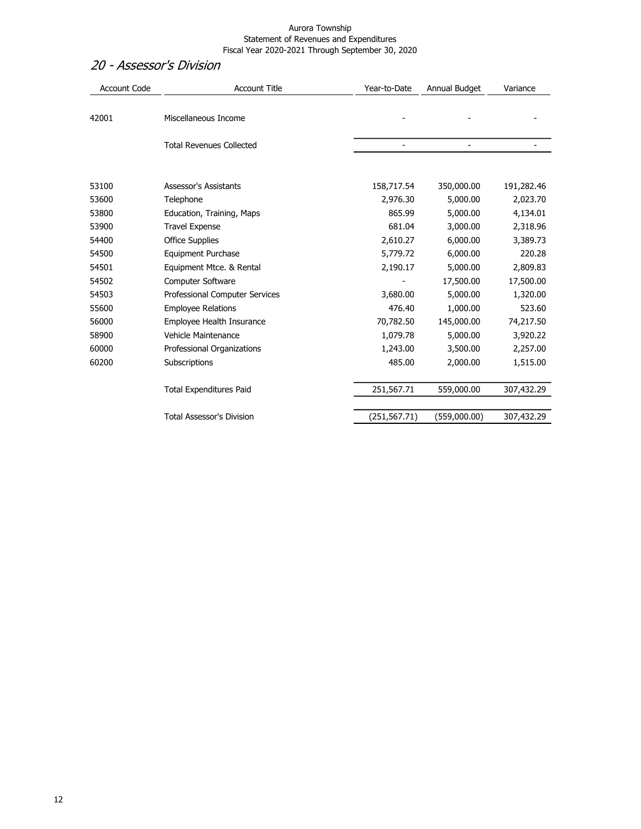### 20 - Assessor's Division

| <b>Account Code</b> | <b>Account Title</b>             | Year-to-Date   | Annual Budget  | Variance   |
|---------------------|----------------------------------|----------------|----------------|------------|
| 42001               | Miscellaneous Income             |                |                |            |
|                     | <b>Total Revenues Collected</b>  | $\overline{a}$ | $\overline{a}$ |            |
| 53100               | <b>Assessor's Assistants</b>     | 158,717.54     | 350,000.00     | 191,282.46 |
| 53600               | Telephone                        | 2,976.30       | 5,000.00       | 2,023.70   |
| 53800               | Education, Training, Maps        | 865.99         | 5,000.00       | 4,134.01   |
| 53900               | <b>Travel Expense</b>            | 681.04         | 3,000.00       | 2,318.96   |
| 54400               | <b>Office Supplies</b>           | 2,610.27       | 6,000.00       | 3,389.73   |
| 54500               | <b>Equipment Purchase</b>        | 5,779.72       | 6,000.00       | 220.28     |
| 54501               | Equipment Mtce. & Rental         | 2,190.17       | 5,000.00       | 2,809.83   |
| 54502               | <b>Computer Software</b>         |                | 17,500.00      | 17,500.00  |
| 54503               | Professional Computer Services   | 3,680.00       | 5,000.00       | 1,320.00   |
| 55600               | <b>Employee Relations</b>        | 476.40         | 1,000.00       | 523.60     |
| 56000               | Employee Health Insurance        | 70,782.50      | 145,000.00     | 74,217.50  |
| 58900               | Vehicle Maintenance              | 1,079.78       | 5,000.00       | 3,920.22   |
| 60000               | Professional Organizations       | 1,243.00       | 3,500.00       | 2,257.00   |
| 60200               | Subscriptions                    | 485.00         | 2,000.00       | 1,515.00   |
|                     | <b>Total Expenditures Paid</b>   | 251,567.71     | 559,000.00     | 307,432.29 |
|                     | <b>Total Assessor's Division</b> | (251, 567.71)  | (559,000.00)   | 307,432.29 |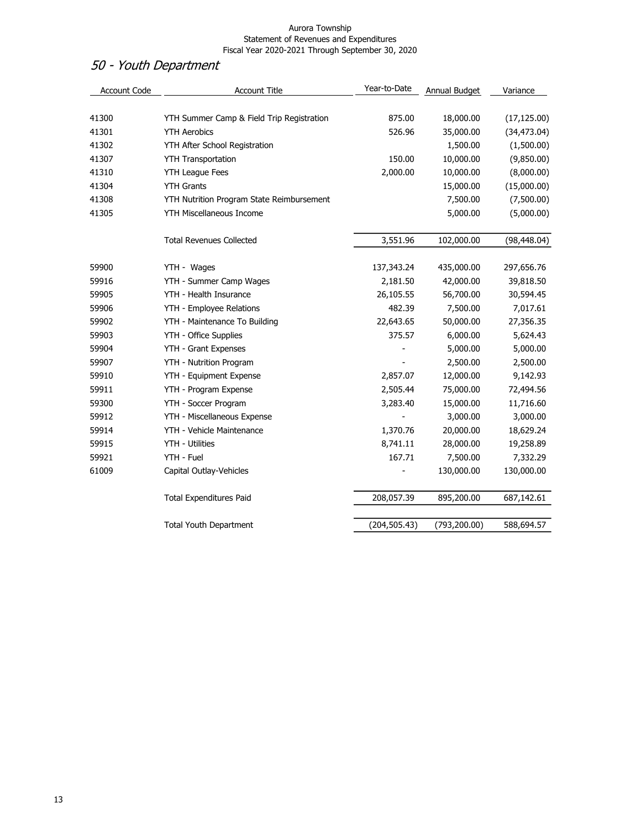# 50 - Youth Department

| Account Code | <b>Account Title</b>                      | Year-to-Date  | Annual Budget | Variance     |
|--------------|-------------------------------------------|---------------|---------------|--------------|
|              |                                           |               |               |              |
| 41300        | YTH Summer Camp & Field Trip Registration | 875.00        | 18,000.00     | (17, 125.00) |
| 41301        | <b>YTH Aerobics</b>                       | 526.96        | 35,000.00     | (34, 473.04) |
| 41302        | YTH After School Registration             |               | 1,500.00      | (1,500.00)   |
| 41307        | <b>YTH Transportation</b>                 | 150.00        | 10,000.00     | (9,850.00)   |
| 41310        | <b>YTH League Fees</b>                    | 2,000.00      | 10,000.00     | (8,000.00)   |
| 41304        | <b>YTH Grants</b>                         |               | 15,000.00     | (15,000.00)  |
| 41308        | YTH Nutrition Program State Reimbursement |               | 7,500.00      | (7,500.00)   |
| 41305        | YTH Miscellaneous Income                  |               | 5,000.00      | (5,000.00)   |
|              | <b>Total Revenues Collected</b>           | 3,551.96      | 102,000.00    | (98, 448.04) |
| 59900        | YTH - Wages                               | 137,343.24    | 435,000.00    | 297,656.76   |
| 59916        | YTH - Summer Camp Wages                   | 2,181.50      | 42,000.00     | 39,818.50    |
| 59905        | YTH - Health Insurance                    | 26,105.55     | 56,700.00     | 30,594.45    |
| 59906        | YTH - Employee Relations                  | 482.39        | 7,500.00      | 7,017.61     |
| 59902        | YTH - Maintenance To Building             | 22,643.65     | 50,000.00     | 27,356.35    |
| 59903        | YTH - Office Supplies                     | 375.57        | 6,000.00      | 5,624.43     |
| 59904        | YTH - Grant Expenses                      |               | 5,000.00      | 5,000.00     |
| 59907        | YTH - Nutrition Program                   |               | 2,500.00      | 2,500.00     |
| 59910        | YTH - Equipment Expense                   | 2,857.07      | 12,000.00     | 9,142.93     |
| 59911        | YTH - Program Expense                     | 2,505.44      | 75,000.00     | 72,494.56    |
| 59300        | YTH - Soccer Program                      | 3,283.40      | 15,000.00     | 11,716.60    |
| 59912        | YTH - Miscellaneous Expense               |               | 3,000.00      | 3,000.00     |
| 59914        | YTH - Vehicle Maintenance                 | 1,370.76      | 20,000.00     | 18,629.24    |
| 59915        | YTH - Utilities                           | 8,741.11      | 28,000.00     | 19,258.89    |
| 59921        | YTH - Fuel                                | 167.71        | 7,500.00      | 7,332.29     |
| 61009        | Capital Outlay-Vehicles                   |               | 130,000.00    | 130,000.00   |
|              | <b>Total Expenditures Paid</b>            | 208,057.39    | 895,200.00    | 687,142.61   |
|              | <b>Total Youth Department</b>             | (204, 505.43) | (793, 200.00) | 588,694.57   |
|              |                                           |               |               |              |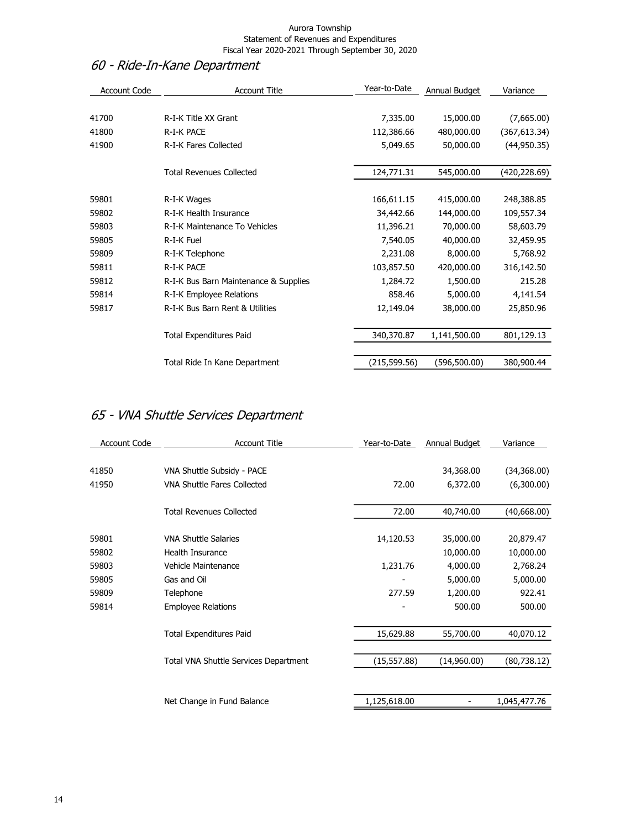# 60 - Ride-In-Kane Department

| <b>Account Code</b> | <b>Account Title</b>                  | Year-to-Date | Annual Budget | Variance      |
|---------------------|---------------------------------------|--------------|---------------|---------------|
|                     |                                       |              |               |               |
| 41700               | R-I-K Title XX Grant                  | 7,335.00     | 15,000.00     | (7,665.00)    |
| 41800               | <b>R-I-K PACE</b>                     | 112,386.66   | 480,000.00    | (367, 613.34) |
| 41900               | <b>R-I-K Fares Collected</b>          | 5,049.65     | 50,000.00     | (44,950.35)   |
|                     |                                       |              |               |               |
|                     | <b>Total Revenues Collected</b>       | 124,771.31   | 545,000.00    | (420,228.69)  |
| 59801               | R-I-K Wages                           | 166,611.15   | 415,000.00    | 248,388.85    |
| 59802               | R-I-K Health Insurance                | 34,442.66    | 144,000.00    | 109,557.34    |
| 59803               | R-I-K Maintenance To Vehicles         | 11,396.21    | 70,000.00     | 58,603.79     |
| 59805               | R-I-K Fuel                            | 7,540.05     | 40,000.00     | 32,459.95     |
| 59809               | R-I-K Telephone                       | 2,231.08     | 8,000.00      | 5,768.92      |
| 59811               | R-I-K PACE                            | 103,857.50   | 420,000.00    | 316,142.50    |
| 59812               | R-I-K Bus Barn Maintenance & Supplies | 1,284.72     | 1,500.00      | 215.28        |
| 59814               | R-I-K Employee Relations              | 858.46       | 5,000.00      | 4,141.54      |
| 59817               | R-I-K Bus Barn Rent & Utilities       | 12,149.04    | 38,000.00     | 25,850.96     |
|                     | <b>Total Expenditures Paid</b>        | 340,370.87   | 1,141,500.00  | 801,129.13    |
|                     |                                       |              |               |               |
|                     | Total Ride In Kane Department         | (215,599.56) | (596,500.00)  | 380,900.44    |

# 65 - VNA Shuttle Services Department

| <b>Account Code</b> | <b>Account Title</b>                  | Year-to-Date             | Annual Budget | Variance     |
|---------------------|---------------------------------------|--------------------------|---------------|--------------|
|                     |                                       |                          |               |              |
| 41850               | VNA Shuttle Subsidy - PACE            |                          | 34,368.00     | (34, 368.00) |
| 41950               | VNA Shuttle Fares Collected           | 72.00                    | 6,372.00      | (6,300.00)   |
|                     | <b>Total Revenues Collected</b>       | 72.00                    | 40,740.00     | (40,668.00)  |
| 59801               | <b>VNA Shuttle Salaries</b>           | 14,120.53                | 35,000.00     | 20,879.47    |
| 59802               | Health Insurance                      |                          | 10,000.00     | 10,000.00    |
| 59803               | Vehicle Maintenance                   | 1,231.76                 | 4,000.00      | 2,768.24     |
| 59805               | Gas and Oil                           | $\overline{\phantom{a}}$ | 5,000.00      | 5,000.00     |
| 59809               | Telephone                             | 277.59                   | 1,200.00      | 922.41       |
| 59814               | <b>Employee Relations</b>             |                          | 500.00        | 500.00       |
|                     | <b>Total Expenditures Paid</b>        | 15,629.88                | 55,700.00     | 40,070.12    |
|                     | Total VNA Shuttle Services Department | (15, 557.88)             | (14,960.00)   | (80, 738.12) |
|                     | Net Change in Fund Balance            | 1,125,618.00             |               | 1,045,477.76 |
|                     |                                       |                          |               |              |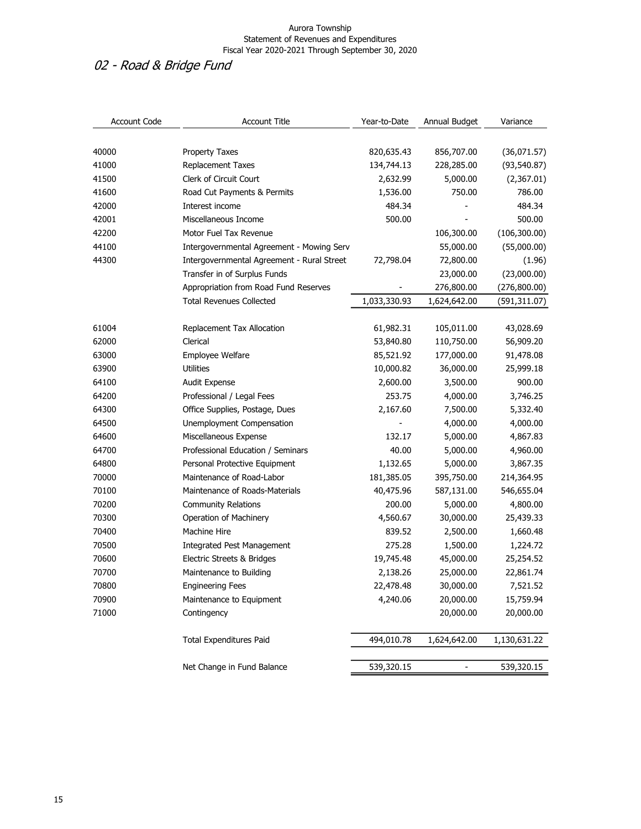# 02 - Road & Bridge Fund

| <b>Account Code</b> | <b>Account Title</b>                       | Year-to-Date | Annual Budget | Variance      |
|---------------------|--------------------------------------------|--------------|---------------|---------------|
|                     |                                            |              |               |               |
| 40000               | <b>Property Taxes</b>                      | 820,635.43   | 856,707.00    | (36,071.57)   |
| 41000               | <b>Replacement Taxes</b>                   | 134,744.13   | 228,285.00    | (93, 540.87)  |
| 41500               | Clerk of Circuit Court                     | 2,632.99     | 5,000.00      | (2,367.01)    |
| 41600               | Road Cut Payments & Permits                | 1,536.00     | 750.00        | 786.00        |
| 42000               | Interest income                            | 484.34       |               | 484.34        |
| 42001               | Miscellaneous Income                       | 500.00       |               | 500.00        |
| 42200               | Motor Fuel Tax Revenue                     |              | 106,300.00    | (106, 300.00) |
| 44100               | Intergovernmental Agreement - Mowing Serv  |              | 55,000.00     | (55,000.00)   |
| 44300               | Intergovernmental Agreement - Rural Street | 72,798.04    | 72,800.00     | (1.96)        |
|                     | Transfer in of Surplus Funds               |              | 23,000.00     | (23,000.00)   |
|                     | Appropriation from Road Fund Reserves      |              | 276,800.00    | (276, 800.00) |
|                     | <b>Total Revenues Collected</b>            | 1,033,330.93 | 1,624,642.00  | (591,311.07)  |
|                     |                                            |              |               |               |
| 61004               | Replacement Tax Allocation                 | 61,982.31    | 105,011.00    | 43,028.69     |
| 62000               | Clerical                                   | 53,840.80    | 110,750.00    | 56,909.20     |
| 63000               | Employee Welfare                           | 85,521.92    | 177,000.00    | 91,478.08     |
| 63900               | <b>Utilities</b>                           | 10,000.82    | 36,000.00     | 25,999.18     |
| 64100               | Audit Expense                              | 2,600.00     | 3,500.00      | 900.00        |
| 64200               | Professional / Legal Fees                  | 253.75       | 4,000.00      | 3,746.25      |
| 64300               | Office Supplies, Postage, Dues             | 2,167.60     | 7,500.00      | 5,332.40      |
| 64500               | Unemployment Compensation                  |              | 4,000.00      | 4,000.00      |
| 64600               | Miscellaneous Expense                      | 132.17       | 5,000.00      | 4,867.83      |
| 64700               | Professional Education / Seminars          | 40.00        | 5,000.00      | 4,960.00      |
| 64800               | Personal Protective Equipment              | 1,132.65     | 5,000.00      | 3,867.35      |
| 70000               | Maintenance of Road-Labor                  | 181,385.05   | 395,750.00    | 214,364.95    |
| 70100               | Maintenance of Roads-Materials             | 40,475.96    | 587,131.00    | 546,655.04    |
| 70200               | <b>Community Relations</b>                 | 200.00       | 5,000.00      | 4,800.00      |
| 70300               | Operation of Machinery                     | 4,560.67     | 30,000.00     | 25,439.33     |
| 70400               | Machine Hire                               | 839.52       | 2,500.00      | 1,660.48      |
| 70500               | <b>Integrated Pest Management</b>          | 275.28       | 1,500.00      | 1,224.72      |
| 70600               | Electric Streets & Bridges                 | 19,745.48    | 45,000.00     | 25,254.52     |
| 70700               | Maintenance to Building                    | 2,138.26     | 25,000.00     | 22,861.74     |
| 70800               | <b>Engineering Fees</b>                    | 22,478.48    | 30,000.00     | 7,521.52      |
| 70900               | Maintenance to Equipment                   | 4,240.06     | 20,000.00     | 15,759.94     |
| 71000               | Contingency                                |              | 20,000.00     | 20,000.00     |
|                     | <b>Total Expenditures Paid</b>             | 494,010.78   | 1,624,642.00  | 1,130,631.22  |
|                     | Net Change in Fund Balance                 | 539,320.15   |               | 539,320.15    |
|                     |                                            |              |               |               |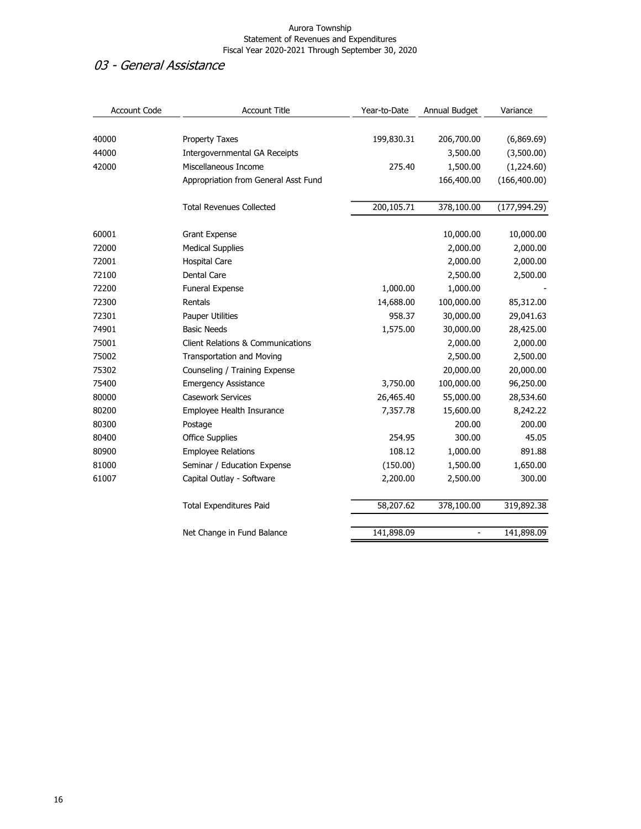### 03 - General Assistance

| <b>Account Code</b> | <b>Account Title</b>                         | Year-to-Date | Annual Budget  | Variance      |
|---------------------|----------------------------------------------|--------------|----------------|---------------|
|                     |                                              |              |                |               |
| 40000               | <b>Property Taxes</b>                        | 199,830.31   | 206,700.00     | (6,869.69)    |
| 44000               | <b>Intergovernmental GA Receipts</b>         |              | 3,500.00       | (3,500.00)    |
| 42000               | Miscellaneous Income                         | 275.40       | 1,500.00       | (1,224.60)    |
|                     | Appropriation from General Asst Fund         |              | 166,400.00     | (166, 400.00) |
|                     | <b>Total Revenues Collected</b>              | 200,105.71   | 378,100.00     | (177, 994.29) |
| 60001               | <b>Grant Expense</b>                         |              | 10,000.00      | 10,000.00     |
| 72000               | <b>Medical Supplies</b>                      |              | 2,000.00       | 2,000.00      |
| 72001               | <b>Hospital Care</b>                         |              | 2,000.00       | 2,000.00      |
| 72100               | <b>Dental Care</b>                           |              | 2,500.00       | 2,500.00      |
| 72200               | Funeral Expense                              | 1,000.00     | 1,000.00       |               |
| 72300               | Rentals                                      | 14,688.00    | 100,000.00     | 85,312.00     |
| 72301               | <b>Pauper Utilities</b>                      | 958.37       | 30,000.00      | 29,041.63     |
| 74901               | <b>Basic Needs</b>                           | 1,575.00     | 30,000.00      | 28,425.00     |
| 75001               | <b>Client Relations &amp; Communications</b> |              | 2,000.00       | 2,000.00      |
| 75002               | <b>Transportation and Moving</b>             |              | 2,500.00       | 2,500.00      |
| 75302               | Counseling / Training Expense                |              | 20,000.00      | 20,000.00     |
| 75400               | <b>Emergency Assistance</b>                  | 3,750.00     | 100,000.00     | 96,250.00     |
| 80000               | <b>Casework Services</b>                     | 26,465.40    | 55,000.00      | 28,534.60     |
| 80200               | Employee Health Insurance                    | 7,357.78     | 15,600.00      | 8,242.22      |
| 80300               | Postage                                      |              | 200.00         | 200.00        |
| 80400               | <b>Office Supplies</b>                       | 254.95       | 300.00         | 45.05         |
| 80900               | <b>Employee Relations</b>                    | 108.12       | 1,000.00       | 891.88        |
| 81000               | Seminar / Education Expense                  | (150.00)     | 1,500.00       | 1,650.00      |
| 61007               | Capital Outlay - Software                    | 2,200.00     | 2,500.00       | 300.00        |
|                     | <b>Total Expenditures Paid</b>               | 58,207.62    | 378,100.00     | 319,892.38    |
|                     | Net Change in Fund Balance                   | 141,898.09   | $\overline{a}$ | 141,898.09    |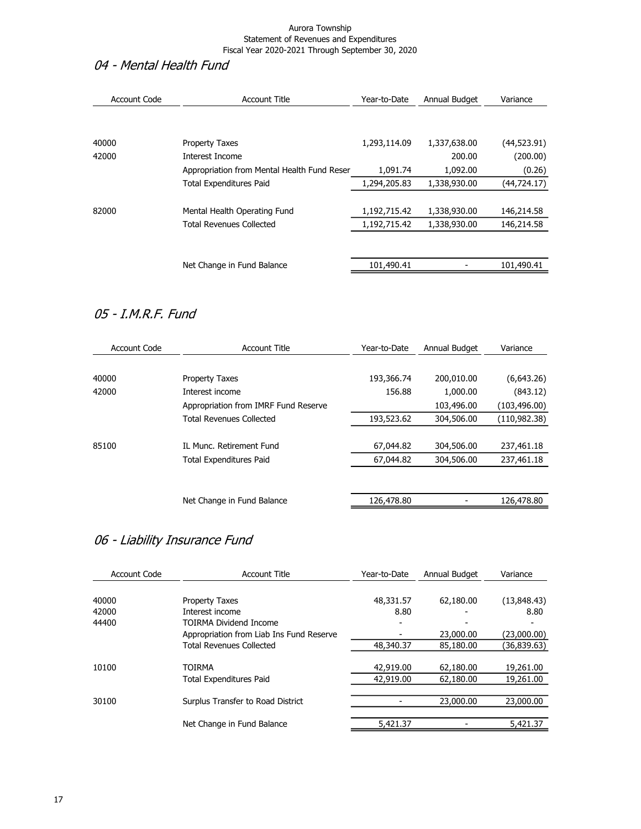### 04 - Mental Health Fund

| Account Code | <b>Account Title</b>                        | Year-to-Date | Annual Budget | Variance     |
|--------------|---------------------------------------------|--------------|---------------|--------------|
|              |                                             |              |               |              |
| 40000        | <b>Property Taxes</b>                       | 1,293,114.09 | 1,337,638.00  | (44, 523.91) |
| 42000        | Interest Income                             |              | 200.00        | (200.00)     |
|              | Appropriation from Mental Health Fund Reser | 1,091.74     | 1,092.00      | (0.26)       |
|              | <b>Total Expenditures Paid</b>              | 1,294,205.83 | 1,338,930.00  | (44, 724.17) |
|              |                                             |              |               |              |
| 82000        | Mental Health Operating Fund                | 1,192,715.42 | 1,338,930.00  | 146,214.58   |
|              | <b>Total Revenues Collected</b>             | 1,192,715.42 | 1,338,930.00  | 146,214.58   |
|              |                                             |              |               |              |
|              | Net Change in Fund Balance                  | 101,490.41   |               | 101.490.41   |
|              |                                             |              |               |              |

### 05 - I.M.R.F. Fund

| Account Code | <b>Account Title</b>                 | Year-to-Date | Annual Budget | Variance      |
|--------------|--------------------------------------|--------------|---------------|---------------|
|              |                                      |              |               |               |
| 40000        | <b>Property Taxes</b>                | 193,366.74   | 200,010.00    | (6,643.26)    |
| 42000        | Interest income                      | 156.88       | 1,000.00      | (843.12)      |
|              | Appropriation from IMRF Fund Reserve |              | 103,496.00    | (103, 496.00) |
|              | Total Revenues Collected             | 193,523.62   | 304,506.00    | (110,982.38)  |
|              |                                      |              |               |               |
| 85100        | IL Munc. Retirement Fund             | 67,044.82    | 304,506.00    | 237,461.18    |
|              | <b>Total Expenditures Paid</b>       | 67,044.82    | 304,506.00    | 237,461.18    |
|              |                                      |              |               |               |
|              |                                      |              |               |               |
|              | Net Change in Fund Balance           | 126,478.80   |               | 126,478.80    |

### 06 - Liability Insurance Fund

| Account Code | <b>Account Title</b>                     | Year-to-Date | Annual Budget | Variance     |
|--------------|------------------------------------------|--------------|---------------|--------------|
| 40000        | <b>Property Taxes</b>                    | 48,331.57    | 62,180.00     | (13,848.43)  |
| 42000        | Interest income                          | 8.80         |               | 8.80         |
| 44400        | <b>TOIRMA Dividend Income</b>            |              |               |              |
|              | Appropriation from Liab Ins Fund Reserve |              | 23,000.00     | (23,000.00)  |
|              | <b>Total Revenues Collected</b>          | 48,340.37    | 85,180.00     | (36, 839.63) |
|              |                                          |              |               |              |
| 10100        | <b>TOIRMA</b>                            | 42,919.00    | 62,180.00     | 19,261.00    |
|              | <b>Total Expenditures Paid</b>           | 42,919.00    | 62,180.00     | 19,261.00    |
|              |                                          |              |               |              |
| 30100        | Surplus Transfer to Road District        |              | 23,000.00     | 23,000.00    |
|              |                                          |              |               |              |
|              | Net Change in Fund Balance               | 5,421.37     |               | 5,421.37     |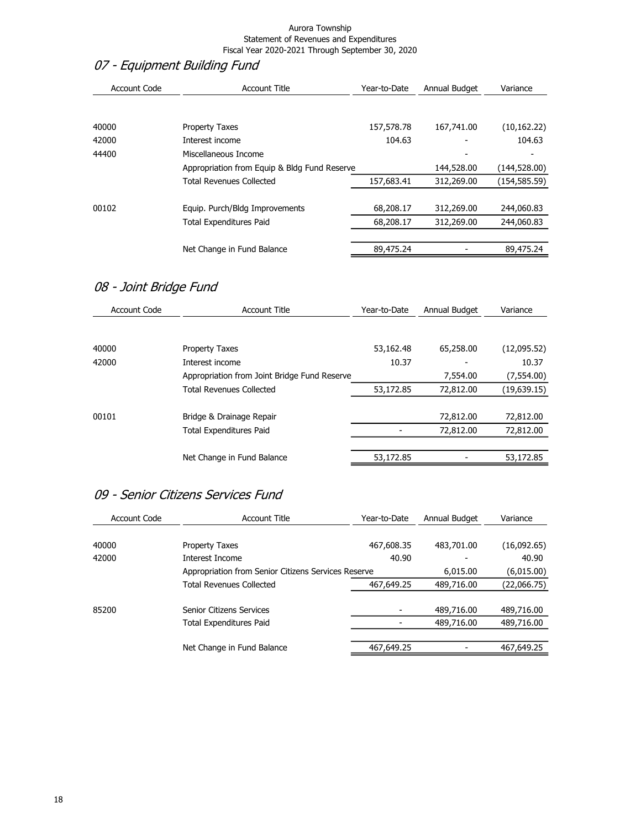# 07 - Equipment Building Fund

| <b>Account Code</b> | <b>Account Title</b>                         | Year-to-Date | Annual Budget | Variance     |
|---------------------|----------------------------------------------|--------------|---------------|--------------|
|                     |                                              |              |               |              |
| 40000               | <b>Property Taxes</b>                        | 157,578.78   | 167,741.00    | (10, 162.22) |
| 42000               | Interest income                              | 104.63       |               | 104.63       |
| 44400               | Miscellaneous Income                         |              |               |              |
|                     | Appropriation from Equip & Bldg Fund Reserve |              | 144,528.00    | (144,528.00) |
|                     | <b>Total Revenues Collected</b>              | 157,683.41   | 312,269.00    | (154,585.59) |
|                     |                                              |              |               |              |
| 00102               | Equip. Purch/Bldg Improvements               | 68,208.17    | 312,269.00    | 244,060.83   |
|                     | <b>Total Expenditures Paid</b>               | 68,208.17    | 312,269.00    | 244,060.83   |
|                     |                                              |              |               |              |
|                     | Net Change in Fund Balance                   | 89,475.24    |               | 89,475.24    |

### 08 - Joint Bridge Fund

| Account Code | <b>Account Title</b>                         | Year-to-Date | Annual Budget | Variance     |
|--------------|----------------------------------------------|--------------|---------------|--------------|
|              |                                              |              |               |              |
| 40000        | Property Taxes                               | 53,162.48    | 65,258.00     | (12,095.52)  |
| 42000        | Interest income                              | 10.37        |               | 10.37        |
|              | Appropriation from Joint Bridge Fund Reserve |              | 7,554.00      | (7,554.00)   |
|              | <b>Total Revenues Collected</b>              | 53,172.85    | 72,812.00     | (19, 639.15) |
| 00101        | Bridge & Drainage Repair                     |              | 72,812.00     | 72,812.00    |
|              | <b>Total Expenditures Paid</b>               |              | 72,812.00     | 72,812.00    |
|              |                                              |              |               |              |
|              | Net Change in Fund Balance                   | 53,172.85    |               | 53,172.85    |

### 09 - Senior Citizens Services Fund

| Account Title                                       | Year-to-Date | Annual Budget | Variance    |
|-----------------------------------------------------|--------------|---------------|-------------|
|                                                     |              |               |             |
| <b>Property Taxes</b>                               | 467,608.35   | 483,701.00    | (16,092.65) |
| Interest Income                                     | 40.90        |               | 40.90       |
| Appropriation from Senior Citizens Services Reserve |              | 6,015.00      | (6,015.00)  |
| <b>Total Revenues Collected</b>                     | 467,649.25   | 489,716.00    | (22,066.75) |
|                                                     |              |               |             |
| Senior Citizens Services                            |              | 489,716.00    | 489,716.00  |
| <b>Total Expenditures Paid</b>                      |              | 489,716.00    | 489,716.00  |
|                                                     |              |               |             |
| Net Change in Fund Balance                          | 467,649.25   |               | 467,649.25  |
|                                                     |              |               |             |